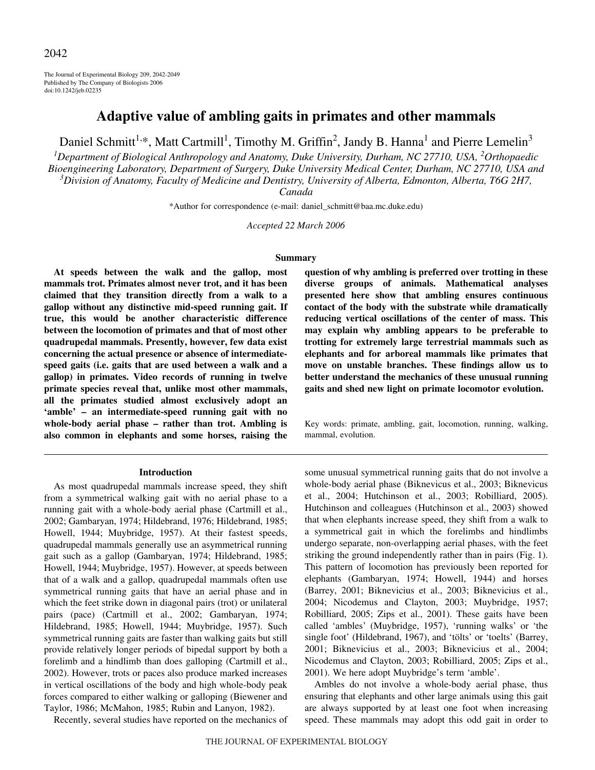The Journal of Experimental Biology 209, 2042-2049 Published by The Company of Biologists 2006 doi:10.1242/jeb.02235

# **Adaptive value of ambling gaits in primates and other mammals**

Daniel Schmitt<sup>1,\*</sup>, Matt Cartmill<sup>1</sup>, Timothy M. Griffin<sup>2</sup>, Jandy B. Hanna<sup>1</sup> and Pierre Lemelin<sup>3</sup>

<sup>1</sup>Department of Biological Anthropology and Anatomy, Duke University, Durham, NC 27710, USA, <sup>2</sup>Orthopaedic *Bioengineering Laboratory, Department of Surgery, Duke University Medical Center, Durham, NC 27710, USA and 3 Division of Anatomy, Faculty of Medicine and Dentistry, University of Alberta, Edmonton, Alberta, T6G 2H7,*

*Canada*

\*Author for correspondence (e-mail: daniel\_schmitt@baa.mc.duke.edu)

*Accepted 22 March 2006*

#### **Summary**

**At speeds between the walk and the gallop, most mammals trot. Primates almost never trot, and it has been claimed that they transition directly from a walk to a gallop without any distinctive mid-speed running gait. If true, this would be another characteristic difference between the locomotion of primates and that of most other quadrupedal mammals. Presently, however, few data exist concerning the actual presence or absence of intermediatespeed gaits (i.e. gaits that are used between a walk and a gallop) in primates. Video records of running in twelve primate species reveal that, unlike most other mammals, all the primates studied almost exclusively adopt an 'amble' – an intermediate-speed running gait with no whole-body aerial phase – rather than trot. Ambling is also common in elephants and some horses, raising the**

#### **Introduction**

As most quadrupedal mammals increase speed, they shift from a symmetrical walking gait with no aerial phase to a running gait with a whole-body aerial phase (Cartmill et al., 2002; Gambaryan, 1974; Hildebrand, 1976; Hildebrand, 1985; Howell, 1944; Muybridge, 1957). At their fastest speeds, quadrupedal mammals generally use an asymmetrical running gait such as a gallop (Gambaryan, 1974; Hildebrand, 1985; Howell, 1944; Muybridge, 1957). However, at speeds between that of a walk and a gallop, quadrupedal mammals often use symmetrical running gaits that have an aerial phase and in which the feet strike down in diagonal pairs (trot) or unilateral pairs (pace) (Cartmill et al., 2002; Gambaryan, 1974; Hildebrand, 1985; Howell, 1944; Muybridge, 1957). Such symmetrical running gaits are faster than walking gaits but still provide relatively longer periods of bipedal support by both a forelimb and a hindlimb than does galloping (Cartmill et al., 2002). However, trots or paces also produce marked increases in vertical oscillations of the body and high whole-body peak forces compared to either walking or galloping (Biewener and Taylor, 1986; McMahon, 1985; Rubin and Lanyon, 1982).

Recently, several studies have reported on the mechanics of

**question of why ambling is preferred over trotting in these diverse groups of animals. Mathematical analyses presented here show that ambling ensures continuous contact of the body with the substrate while dramatically reducing vertical oscillations of the center of mass. This may explain why ambling appears to be preferable to trotting for extremely large terrestrial mammals such as elephants and for arboreal mammals like primates that move on unstable branches. These findings allow us to better understand the mechanics of these unusual running gaits and shed new light on primate locomotor evolution.**

Key words: primate, ambling, gait, locomotion, running, walking, mammal, evolution.

some unusual symmetrical running gaits that do not involve a whole-body aerial phase (Biknevicus et al., 2003; Biknevicus et al., 2004; Hutchinson et al., 2003; Robilliard, 2005). Hutchinson and colleagues (Hutchinson et al., 2003) showed that when elephants increase speed, they shift from a walk to a symmetrical gait in which the forelimbs and hindlimbs undergo separate, non-overlapping aerial phases, with the feet striking the ground independently rather than in pairs (Fig. 1). This pattern of locomotion has previously been reported for elephants (Gambaryan, 1974; Howell, 1944) and horses (Barrey, 2001; Biknevicius et al., 2003; Biknevicius et al., 2004; Nicodemus and Clayton, 2003; Muybridge, 1957; Robilliard, 2005; Zips et al., 2001). These gaits have been called 'ambles' (Muybridge, 1957), 'running walks' or 'the single foot' (Hildebrand, 1967), and 'tölts' or 'toelts' (Barrey, 2001; Biknevicius et al., 2003; Biknevicius et al., 2004; Nicodemus and Clayton, 2003; Robilliard, 2005; Zips et al., 2001). We here adopt Muybridge's term 'amble'.

Ambles do not involve a whole-body aerial phase, thus ensuring that elephants and other large animals using this gait are always supported by at least one foot when increasing speed. These mammals may adopt this odd gait in order to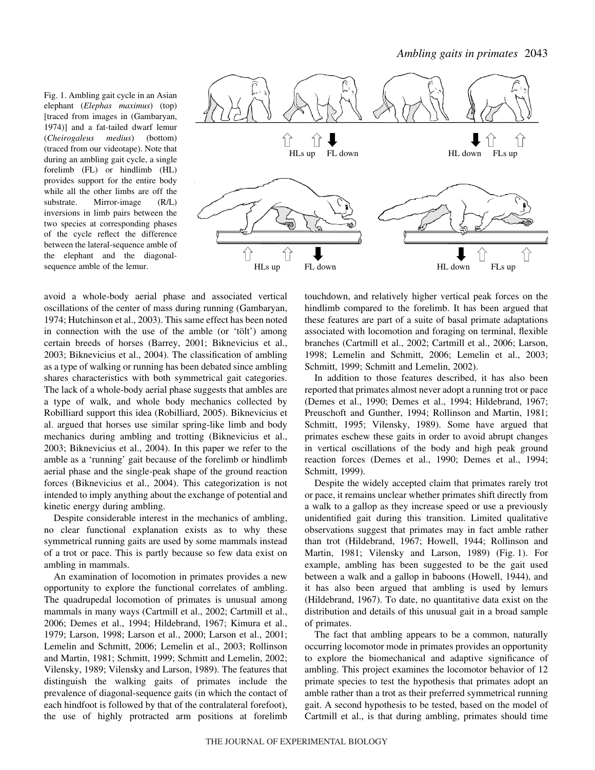Fig. 1. Ambling gait cycle in an Asian elephant (*Elephas maximus*) (top) [traced from images in (Gambaryan, 1974)] and a fat-tailed dwarf lemur (*Cheirogaleus medius*) (bottom) (traced from our videotape). Note that during an ambling gait cycle, a single forelimb (FL) or hindlimb (HL) provides support for the entire body while all the other limbs are off the substrate. Mirror-image (R/L) inversions in limb pairs between the two species at corresponding phases of the cycle reflect the difference between the lateral-sequence amble of the elephant and the diagonalsequence amble of the lemur.



avoid a whole-body aerial phase and associated vertical oscillations of the center of mass during running (Gambaryan, 1974; Hutchinson et al., 2003). This same effect has been noted in connection with the use of the amble (or 'tölt') among certain breeds of horses (Barrey, 2001; Biknevicius et al., 2003; Biknevicius et al., 2004). The classification of ambling as a type of walking or running has been debated since ambling shares characteristics with both symmetrical gait categories. The lack of a whole-body aerial phase suggests that ambles are a type of walk, and whole body mechanics collected by Robilliard support this idea (Robilliard, 2005). Biknevicius et al. argued that horses use similar spring-like limb and body mechanics during ambling and trotting (Biknevicius et al., 2003; Biknevicius et al., 2004). In this paper we refer to the amble as a 'running' gait because of the forelimb or hindlimb aerial phase and the single-peak shape of the ground reaction forces (Biknevicius et al., 2004). This categorization is not intended to imply anything about the exchange of potential and kinetic energy during ambling.

Despite considerable interest in the mechanics of ambling, no clear functional explanation exists as to why these symmetrical running gaits are used by some mammals instead of a trot or pace. This is partly because so few data exist on ambling in mammals.

An examination of locomotion in primates provides a new opportunity to explore the functional correlates of ambling. The quadrupedal locomotion of primates is unusual among mammals in many ways (Cartmill et al., 2002; Cartmill et al., 2006; Demes et al., 1994; Hildebrand, 1967; Kimura et al., 1979; Larson, 1998; Larson et al., 2000; Larson et al., 2001; Lemelin and Schmitt, 2006; Lemelin et al., 2003; Rollinson and Martin, 1981; Schmitt, 1999; Schmitt and Lemelin, 2002; Vilensky, 1989; Vilensky and Larson, 1989). The features that distinguish the walking gaits of primates include the prevalence of diagonal-sequence gaits (in which the contact of each hindfoot is followed by that of the contralateral forefoot), the use of highly protracted arm positions at forelimb

touchdown, and relatively higher vertical peak forces on the hindlimb compared to the forelimb. It has been argued that these features are part of a suite of basal primate adaptations associated with locomotion and foraging on terminal, flexible branches (Cartmill et al., 2002; Cartmill et al., 2006; Larson, 1998; Lemelin and Schmitt, 2006; Lemelin et al., 2003; Schmitt, 1999; Schmitt and Lemelin, 2002).

In addition to those features described, it has also been reported that primates almost never adopt a running trot or pace (Demes et al., 1990; Demes et al., 1994; Hildebrand, 1967; Preuschoft and Gunther, 1994; Rollinson and Martin, 1981; Schmitt, 1995; Vilensky, 1989). Some have argued that primates eschew these gaits in order to avoid abrupt changes in vertical oscillations of the body and high peak ground reaction forces (Demes et al., 1990; Demes et al., 1994; Schmitt, 1999).

Despite the widely accepted claim that primates rarely trot or pace, it remains unclear whether primates shift directly from a walk to a gallop as they increase speed or use a previously unidentified gait during this transition. Limited qualitative observations suggest that primates may in fact amble rather than trot (Hildebrand, 1967; Howell, 1944; Rollinson and Martin, 1981; Vilensky and Larson, 1989) (Fig. 1). For example, ambling has been suggested to be the gait used between a walk and a gallop in baboons (Howell, 1944), and it has also been argued that ambling is used by lemurs (Hildebrand, 1967). To date, no quantitative data exist on the distribution and details of this unusual gait in a broad sample of primates.

The fact that ambling appears to be a common, naturally occurring locomotor mode in primates provides an opportunity to explore the biomechanical and adaptive significance of ambling. This project examines the locomotor behavior of 12 primate species to test the hypothesis that primates adopt an amble rather than a trot as their preferred symmetrical running gait. A second hypothesis to be tested, based on the model of Cartmill et al., is that during ambling, primates should time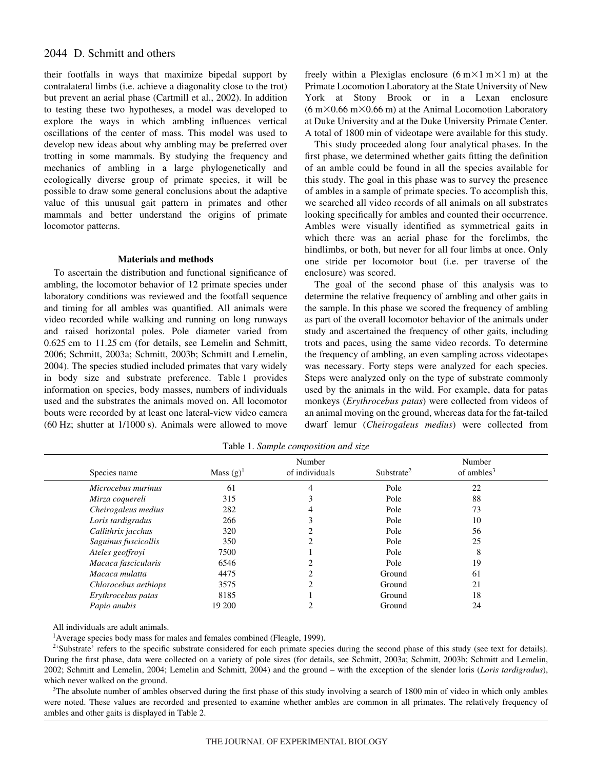# 2044 D. Schmitt and others

their footfalls in ways that maximize bipedal support by contralateral limbs (i.e. achieve a diagonality close to the trot) but prevent an aerial phase (Cartmill et al., 2002). In addition to testing these two hypotheses, a model was developed to explore the ways in which ambling influences vertical oscillations of the center of mass. This model was used to develop new ideas about why ambling may be preferred over trotting in some mammals. By studying the frequency and mechanics of ambling in a large phylogenetically and ecologically diverse group of primate species, it will be possible to draw some general conclusions about the adaptive value of this unusual gait pattern in primates and other mammals and better understand the origins of primate locomotor patterns.

### **Materials and methods**

To ascertain the distribution and functional significance of ambling, the locomotor behavior of 12 primate species under laboratory conditions was reviewed and the footfall sequence and timing for all ambles was quantified. All animals were video recorded while walking and running on long runways and raised horizontal poles. Pole diameter varied from 0.625 cm to 11.25 cm (for details, see Lemelin and Schmitt, 2006; Schmitt, 2003a; Schmitt, 2003b; Schmitt and Lemelin, 2004). The species studied included primates that vary widely in body size and substrate preference. Table 1 provides information on species, body masses, numbers of individuals used and the substrates the animals moved on. All locomotor bouts were recorded by at least one lateral-view video camera (60 Hz; shutter at  $1/1000$  s). Animals were allowed to move

freely within a Plexiglas enclosure  $(6 \text{ m} \times 1 \text{ m} \times 1 \text{ m})$  at the Primate Locomotion Laboratory at the State University of New York at Stony Brook or in a Lexan enclosure  $(6 \text{ m} \times 0.66 \text{ m})$  at the Animal Locomotion Laboratory at Duke University and at the Duke University Primate Center. A total of 1800 min of videotape were available for this study.

This study proceeded along four analytical phases. In the first phase, we determined whether gaits fitting the definition of an amble could be found in all the species available for this study. The goal in this phase was to survey the presence of ambles in a sample of primate species. To accomplish this, we searched all video records of all animals on all substrates looking specifically for ambles and counted their occurrence. Ambles were visually identified as symmetrical gaits in which there was an aerial phase for the forelimbs, the hindlimbs, or both, but never for all four limbs at once. Only one stride per locomotor bout (i.e. per traverse of the enclosure) was scored.

The goal of the second phase of this analysis was to determine the relative frequency of ambling and other gaits in the sample. In this phase we scored the frequency of ambling as part of the overall locomotor behavior of the animals under study and ascertained the frequency of other gaits, including trots and paces, using the same video records. To determine the frequency of ambling, an even sampling across videotapes was necessary. Forty steps were analyzed for each species. Steps were analyzed only on the type of substrate commonly used by the animals in the wild. For example, data for patas monkeys (*Erythrocebus patas*) were collected from videos of an animal moving on the ground, whereas data for the fat-tailed dwarf lemur (*Cheirogaleus medius*) were collected from

| Species name         | Mass $(g)^1$ | Substrate <sup>2</sup> | Number<br>of ambles $3$ |    |
|----------------------|--------------|------------------------|-------------------------|----|
| Microcebus murinus   | 61           |                        | Pole                    | 22 |
| Mirza coquereli      | 315          |                        | Pole                    | 88 |
| Cheirogaleus medius  | 282          |                        | Pole                    | 73 |
| Loris tardigradus    | 266          |                        | Pole                    | 10 |
| Callithrix jacchus   | 320          |                        | Pole                    | 56 |
| Saguinus fuscicollis | 350          |                        | Pole                    | 25 |
| Ateles geoffroyi     | 7500         |                        | Pole                    | 8  |
| Macaca fascicularis  | 6546         |                        | Pole                    | 19 |
| Macaca mulatta       | 4475         |                        | Ground                  | 61 |
| Chlorocebus aethiops | 3575         |                        | Ground                  | 21 |
| Erythrocebus patas   | 8185         |                        | Ground                  | 18 |
| Papio anubis         | 19 200       |                        | Ground                  | 24 |

Table·1. *Sample composition and size* 

All individuals are adult animals.

<sup>1</sup> Average species body mass for males and females combined (Fleagle, 1999).

<sup>2</sup>'Substrate' refers to the specific substrate considered for each primate species during the second phase of this study (see text for details). During the first phase, data were collected on a variety of pole sizes (for details, see Schmitt, 2003a; Schmitt, 2003b; Schmitt and Lemelin, 2002; Schmitt and Lemelin, 2004; Lemelin and Schmitt, 2004) and the ground – with the exception of the slender loris (*Loris tardigradus*), which never walked on the ground.

 $3$ The absolute number of ambles observed during the first phase of this study involving a search of 1800 min of video in which only ambles were noted. These values are recorded and presented to examine whether ambles are common in all primates. The relatively frequency of ambles and other gaits is displayed in Table 2.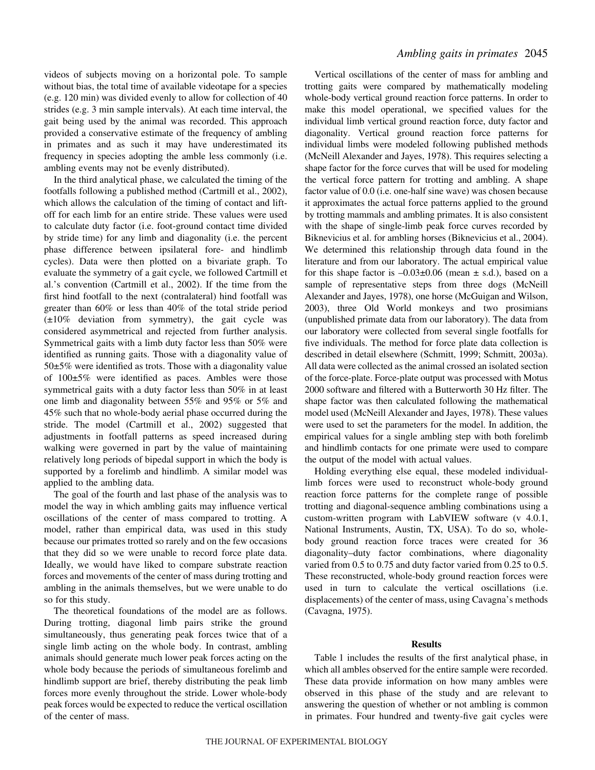videos of subjects moving on a horizontal pole. To sample without bias, the total time of available videotape for a species (e.g.  $120 \text{ min}$ ) was divided evenly to allow for collection of  $40$ strides (e.g. 3 min sample intervals). At each time interval, the gait being used by the animal was recorded. This approach provided a conservative estimate of the frequency of ambling in primates and as such it may have underestimated its frequency in species adopting the amble less commonly (i.e. ambling events may not be evenly distributed).

In the third analytical phase, we calculated the timing of the footfalls following a published method (Cartmill et al., 2002), which allows the calculation of the timing of contact and liftoff for each limb for an entire stride. These values were used to calculate duty factor (i.e. foot-ground contact time divided by stride time) for any limb and diagonality (i.e. the percent phase difference between ipsilateral fore- and hindlimb cycles). Data were then plotted on a bivariate graph. To evaluate the symmetry of a gait cycle, we followed Cartmill et al.'s convention (Cartmill et al., 2002). If the time from the first hind footfall to the next (contralateral) hind footfall was greater than 60% or less than 40% of the total stride period (±10% deviation from symmetry), the gait cycle was considered asymmetrical and rejected from further analysis. Symmetrical gaits with a limb duty factor less than 50% were identified as running gaits. Those with a diagonality value of  $50±5\%$  were identified as trots. Those with a diagonality value of 100±5% were identified as paces. Ambles were those symmetrical gaits with a duty factor less than 50% in at least one limb and diagonality between 55% and 95% or 5% and 45% such that no whole-body aerial phase occurred during the stride. The model (Cartmill et al., 2002) suggested that adjustments in footfall patterns as speed increased during walking were governed in part by the value of maintaining relatively long periods of bipedal support in which the body is supported by a forelimb and hindlimb. A similar model was applied to the ambling data.

The goal of the fourth and last phase of the analysis was to model the way in which ambling gaits may influence vertical oscillations of the center of mass compared to trotting. A model, rather than empirical data, was used in this study because our primates trotted so rarely and on the few occasions that they did so we were unable to record force plate data. Ideally, we would have liked to compare substrate reaction forces and movements of the center of mass during trotting and ambling in the animals themselves, but we were unable to do so for this study.

The theoretical foundations of the model are as follows. During trotting, diagonal limb pairs strike the ground simultaneously, thus generating peak forces twice that of a single limb acting on the whole body. In contrast, ambling animals should generate much lower peak forces acting on the whole body because the periods of simultaneous forelimb and hindlimb support are brief, thereby distributing the peak limb forces more evenly throughout the stride. Lower whole-body peak forces would be expected to reduce the vertical oscillation of the center of mass.

Vertical oscillations of the center of mass for ambling and trotting gaits were compared by mathematically modeling whole-body vertical ground reaction force patterns. In order to make this model operational, we specified values for the individual limb vertical ground reaction force, duty factor and diagonality. Vertical ground reaction force patterns for individual limbs were modeled following published methods (McNeill Alexander and Jayes, 1978). This requires selecting a shape factor for the force curves that will be used for modeling the vertical force pattern for trotting and ambling. A shape factor value of 0.0 (i.e. one-half sine wave) was chosen because it approximates the actual force patterns applied to the ground by trotting mammals and ambling primates. It is also consistent with the shape of single-limb peak force curves recorded by Biknevicius et al. for ambling horses (Biknevicius et al., 2004). We determined this relationship through data found in the literature and from our laboratory. The actual empirical value for this shape factor is  $-0.03\pm0.06$  (mean  $\pm$  s.d.), based on a sample of representative steps from three dogs (McNeill Alexander and Jayes, 1978), one horse (McGuigan and Wilson, 2003), three Old World monkeys and two prosimians (unpublished primate data from our laboratory). The data from our laboratory were collected from several single footfalls for five individuals. The method for force plate data collection is described in detail elsewhere (Schmitt, 1999; Schmitt, 2003a). All data were collected as the animal crossed an isolated section of the force-plate. Force-plate output was processed with Motus 2000 software and filtered with a Butterworth 30 Hz filter. The shape factor was then calculated following the mathematical model used (McNeill Alexander and Jayes, 1978). These values were used to set the parameters for the model. In addition, the empirical values for a single ambling step with both forelimb and hindlimb contacts for one primate were used to compare the output of the model with actual values.

Holding everything else equal, these modeled individuallimb forces were used to reconstruct whole-body ground reaction force patterns for the complete range of possible trotting and diagonal-sequence ambling combinations using a custom-written program with LabVIEW software (v 4.0.1, National Instruments, Austin, TX, USA). To do so, wholebody ground reaction force traces were created for 36 diagonality–duty factor combinations, where diagonality varied from 0.5 to 0.75 and duty factor varied from 0.25 to 0.5. These reconstructed, whole-body ground reaction forces were used in turn to calculate the vertical oscillations (i.e. displacements) of the center of mass, using Cavagna's methods (Cavagna, 1975).

### **Results**

Table 1 includes the results of the first analytical phase, in which all ambles observed for the entire sample were recorded. These data provide information on how many ambles were observed in this phase of the study and are relevant to answering the question of whether or not ambling is common in primates. Four hundred and twenty-five gait cycles were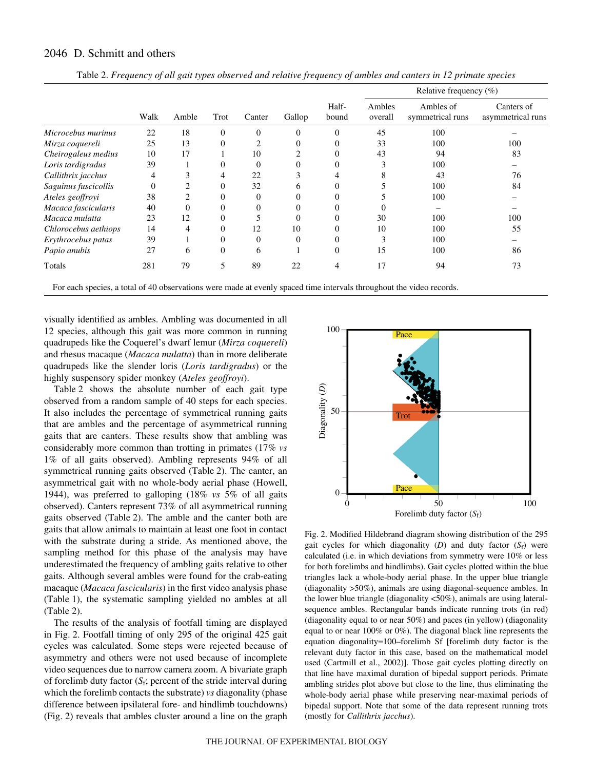# 2046 D. Schmitt and others

|                      | Walk     | Amble    | Trot           | Canter   | Gallop   | Half-<br>bound | Relative frequency $(\%)$ |                               |                                 |
|----------------------|----------|----------|----------------|----------|----------|----------------|---------------------------|-------------------------------|---------------------------------|
|                      |          |          |                |          |          |                | Ambles<br>overall         | Ambles of<br>symmetrical runs | Canters of<br>asymmetrical runs |
| Microcebus murinus   | 22       | 18       | $\overline{0}$ | $\theta$ | $\Omega$ | $\overline{0}$ | 45                        | 100                           |                                 |
| Mirza coquereli      | 25       | 13       | $\Omega$       | 2        |          | 0              | 33                        | 100                           | 100                             |
| Cheirogaleus medius  | 10       | 17       |                | 10       |          |                | 43                        | 94                            | 83                              |
| Loris tardigradus    | 39       |          | 0              | 0        |          |                | 3                         | 100                           |                                 |
| Callithrix jacchus   | 4        |          | 4              | 22       |          |                | ŏ                         | 43                            | 76                              |
| Saguinus fuscicollis | $\Omega$ |          | $\mathbf{0}$   | 32       | 6        | $\Omega$       |                           | 100                           | 84                              |
| Ateles geoffroyi     | 38       |          | $\mathbf{0}$   | $\Omega$ |          | $\Omega$       |                           | 100                           |                                 |
| Macaca fascicularis  | 40       | $\Omega$ | $\Omega$       | 0        |          | 0              |                           |                               |                                 |
| Macaca mulatta       | 23       | 12       | $\theta$       |          |          | 0              | 30                        | 100                           | 100                             |
| Chlorocebus aethiops | 14       | 4        | $\Omega$       | 12       | 10       |                | 10                        | 100                           | 55                              |
| Erythrocebus patas   | 39       |          | 0              | 0        | $\Omega$ | 0              | 3                         | 100                           |                                 |
| Papio anubis         | 27       | 6        | $\overline{0}$ | 6        |          | $\overline{0}$ | 15                        | 100                           | 86                              |
| Totals               | 281      | 79       | 5              | 89       | 22       | 4              | 17                        | 94                            | 73                              |

Table 2. *Frequency of all gait types observed and relative frequency of ambles and canters in 12 primate species* 

For each species, a total of 40 observations were made at evenly spaced time intervals throughout the video records.

visually identified as ambles. Ambling was documented in all 12 species, although this gait was more common in running quadrupeds like the Coquerel's dwarf lemur (*Mirza coquereli*) and rhesus macaque (*Macaca mulatta*) than in more deliberate quadrupeds like the slender loris (*Loris tardigradus*) or the highly suspensory spider monkey (*Ateles geoffroyi*).

Table 2 shows the absolute number of each gait type observed from a random sample of 40 steps for each species. It also includes the percentage of symmetrical running gaits that are ambles and the percentage of asymmetrical running gaits that are canters. These results show that ambling was considerably more common than trotting in primates (17% *vs* 1% of all gaits observed). Ambling represents 94% of all symmetrical running gaits observed (Table 2). The canter, an asymmetrical gait with no whole-body aerial phase (Howell, 1944), was preferred to galloping (18% *vs* 5% of all gaits observed). Canters represent 73% of all asymmetrical running gaits observed (Table 2). The amble and the canter both are gaits that allow animals to maintain at least one foot in contact with the substrate during a stride. As mentioned above, the sampling method for this phase of the analysis may have underestimated the frequency of ambling gaits relative to other gaits. Although several ambles were found for the crab-eating macaque (*Macaca fascicularis*) in the first video analysis phase (Table 1), the systematic sampling yielded no ambles at all  $(Table 2)$ .

The results of the analysis of footfall timing are displayed in Fig. 2. Footfall timing of only 295 of the original 425 gait cycles was calculated. Some steps were rejected because of asymmetry and others were not used because of incomplete video sequences due to narrow camera zoom. A bivariate graph of forelimb duty factor  $(S_f;$  percent of the stride interval during which the forelimb contacts the substrate) *vs* diagonality (phase difference between ipsilateral fore- and hindlimb touchdowns) (Fig. 2) reveals that ambles cluster around a line on the graph



Fig. 2. Modified Hildebrand diagram showing distribution of the 295 gait cycles for which diagonality  $(D)$  and duty factor  $(S_f)$  were calculated (i.e. in which deviations from symmetry were 10% or less for both forelimbs and hindlimbs). Gait cycles plotted within the blue triangles lack a whole-body aerial phase. In the upper blue triangle (diagonality >50%), animals are using diagonal-sequence ambles. In the lower blue triangle (diagonality <50%), animals are using lateralsequence ambles. Rectangular bands indicate running trots (in red) (diagonality equal to or near 50%) and paces (in yellow) (diagonality equal to or near 100% or 0%). The diagonal black line represents the equation diagonality=100–forelimb Sf [forelimb duty factor is the relevant duty factor in this case, based on the mathematical model used (Cartmill et al., 2002)]. Those gait cycles plotting directly on that line have maximal duration of bipedal support periods. Primate ambling strides plot above but close to the line, thus eliminating the whole-body aerial phase while preserving near-maximal periods of bipedal support. Note that some of the data represent running trots (mostly for *Callithrix jacchus*).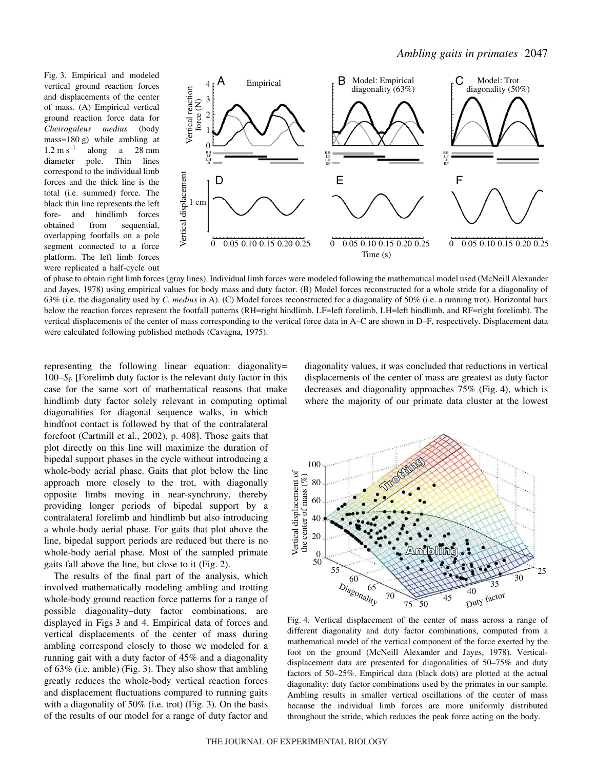Fig. 3. Empirical and modeled vertical ground reaction forces and displacements of the center of mass. (A) Empirical vertical ground reaction force data for *Cheirogaleus medius* (body mass=180 g) while ambling at  $1.2 \text{ m s}^{-1}$  along a 28 mm diameter pole. Thin lines correspond to the individual limb forces and the thick line is the total (i.e. summed) force. The black thin line represents the left fore- and hindlimb forces obtained from sequential, overlapping footfalls on a pole segment connected to a force platform. The left limb forces were replicated a half-cycle out



of phase to obtain right limb forces (gray lines). Individual limb forces were modeled following the mathematical model used (McNeill Alexander and Jayes, 1978) using empirical values for body mass and duty factor. (B) Model forces reconstructed for a whole stride for a diagonality of 63% (i.e. the diagonality used by *C. medius* in A). (C) Model forces reconstructed for a diagonality of 50% (i.e. a running trot). Horizontal bars below the reaction forces represent the footfall patterns (RH=right hindlimb, LF=left forelimb, LH=left hindlimb, and RF=right forelimb). The vertical displacements of the center of mass corresponding to the vertical force data in A–C are shown in D–F, respectively. Displacement data were calculated following published methods (Cavagna, 1975).

representing the following linear equation: diagonality= 100–*S*f. [Forelimb duty factor is the relevant duty factor in this case for the same sort of mathematical reasons that make hindlimb duty factor solely relevant in computing optimal diagonalities for diagonal sequence walks, in which hindfoot contact is followed by that of the contralateral forefoot (Cartmill et al., 2002), p. 408]. Those gaits that plot directly on this line will maximize the duration of bipedal support phases in the cycle without introducing a whole-body aerial phase. Gaits that plot below the line approach more closely to the trot, with diagonally opposite limbs moving in near-synchrony, thereby providing longer periods of bipedal support by a contralateral forelimb and hindlimb but also introducing a whole-body aerial phase. For gaits that plot above the line, bipedal support periods are reduced but there is no whole-body aerial phase. Most of the sampled primate gaits fall above the line, but close to it (Fig. 2).

The results of the final part of the analysis, which involved mathematically modeling ambling and trotting whole-body ground reaction force patterns for a range of possible diagonality–duty factor combinations, are displayed in Figs 3 and 4. Empirical data of forces and vertical displacements of the center of mass during ambling correspond closely to those we modeled for a running gait with a duty factor of 45% and a diagonality of  $63\%$  (i.e. amble) (Fig. 3). They also show that ambling greatly reduces the whole-body vertical reaction forces and displacement fluctuations compared to running gaits with a diagonality of  $50\%$  (i.e. trot) (Fig. 3). On the basis of the results of our model for a range of duty factor and

diagonality values, it was concluded that reductions in vertical displacements of the center of mass are greatest as duty factor decreases and diagonality approaches  $75\%$  (Fig. 4), which is where the majority of our primate data cluster at the lowest



Fig. 4. Vertical displacement of the center of mass across a range of different diagonality and duty factor combinations, computed from a mathematical model of the vertical component of the force exerted by the foot on the ground (McNeill Alexander and Jayes, 1978). Verticaldisplacement data are presented for diagonalities of 50–75% and duty factors of 50–25%. Empirical data (black dots) are plotted at the actual diagonality: duty factor combinations used by the primates in our sample. Ambling results in smaller vertical oscillations of the center of mass because the individual limb forces are more uniformly distributed throughout the stride, which reduces the peak force acting on the body.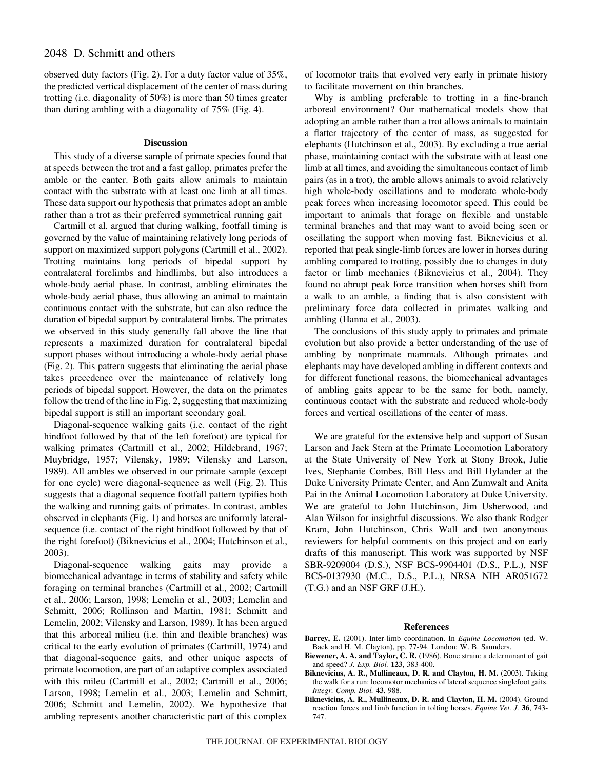observed duty factors (Fig. 2). For a duty factor value of  $35\%,$ the predicted vertical displacement of the center of mass during trotting (i.e. diagonality of 50%) is more than 50 times greater than during ambling with a diagonality of  $75\%$  (Fig. 4).

#### **Discussion**

This study of a diverse sample of primate species found that at speeds between the trot and a fast gallop, primates prefer the amble or the canter. Both gaits allow animals to maintain contact with the substrate with at least one limb at all times. These data support our hypothesis that primates adopt an amble rather than a trot as their preferred symmetrical running gait

Cartmill et al. argued that during walking, footfall timing is governed by the value of maintaining relatively long periods of support on maximized support polygons (Cartmill et al., 2002). Trotting maintains long periods of bipedal support by contralateral forelimbs and hindlimbs, but also introduces a whole-body aerial phase. In contrast, ambling eliminates the whole-body aerial phase, thus allowing an animal to maintain continuous contact with the substrate, but can also reduce the duration of bipedal support by contralateral limbs. The primates we observed in this study generally fall above the line that represents a maximized duration for contralateral bipedal support phases without introducing a whole-body aerial phase (Fig. 2). This pattern suggests that eliminating the aerial phase takes precedence over the maintenance of relatively long periods of bipedal support. However, the data on the primates follow the trend of the line in Fig. 2, suggesting that maximizing bipedal support is still an important secondary goal.

Diagonal-sequence walking gaits (i.e. contact of the right hindfoot followed by that of the left forefoot) are typical for walking primates (Cartmill et al., 2002; Hildebrand, 1967; Muybridge, 1957; Vilensky, 1989; Vilensky and Larson, 1989). All ambles we observed in our primate sample (except for one cycle) were diagonal-sequence as well (Fig. 2). This suggests that a diagonal sequence footfall pattern typifies both the walking and running gaits of primates. In contrast, ambles observed in elephants (Fig. 1) and horses are uniformly lateralsequence (i.e. contact of the right hindfoot followed by that of the right forefoot) (Biknevicius et al., 2004; Hutchinson et al., 2003).

Diagonal-sequence walking gaits may provide a biomechanical advantage in terms of stability and safety while foraging on terminal branches (Cartmill et al., 2002; Cartmill et al., 2006; Larson, 1998; Lemelin et al., 2003; Lemelin and Schmitt, 2006; Rollinson and Martin, 1981; Schmitt and Lemelin, 2002; Vilensky and Larson, 1989). It has been argued that this arboreal milieu (i.e. thin and flexible branches) was critical to the early evolution of primates (Cartmill, 1974) and that diagonal-sequence gaits, and other unique aspects of primate locomotion, are part of an adaptive complex associated with this mileu (Cartmill et al., 2002; Cartmill et al., 2006; Larson, 1998; Lemelin et al., 2003; Lemelin and Schmitt, 2006; Schmitt and Lemelin, 2002). We hypothesize that ambling represents another characteristic part of this complex

of locomotor traits that evolved very early in primate history to facilitate movement on thin branches.

Why is ambling preferable to trotting in a fine-branch arboreal environment? Our mathematical models show that adopting an amble rather than a trot allows animals to maintain a flatter trajectory of the center of mass, as suggested for elephants (Hutchinson et al., 2003). By excluding a true aerial phase, maintaining contact with the substrate with at least one limb at all times, and avoiding the simultaneous contact of limb pairs (as in a trot), the amble allows animals to avoid relatively high whole-body oscillations and to moderate whole-body peak forces when increasing locomotor speed. This could be important to animals that forage on flexible and unstable terminal branches and that may want to avoid being seen or oscillating the support when moving fast. Biknevicius et al. reported that peak single-limb forces are lower in horses during ambling compared to trotting, possibly due to changes in duty factor or limb mechanics (Biknevicius et al., 2004). They found no abrupt peak force transition when horses shift from a walk to an amble, a finding that is also consistent with preliminary force data collected in primates walking and ambling (Hanna et al., 2003).

The conclusions of this study apply to primates and primate evolution but also provide a better understanding of the use of ambling by nonprimate mammals. Although primates and elephants may have developed ambling in different contexts and for different functional reasons, the biomechanical advantages of ambling gaits appear to be the same for both, namely, continuous contact with the substrate and reduced whole-body forces and vertical oscillations of the center of mass.

We are grateful for the extensive help and support of Susan Larson and Jack Stern at the Primate Locomotion Laboratory at the State University of New York at Stony Brook, Julie Ives, Stephanie Combes, Bill Hess and Bill Hylander at the Duke University Primate Center, and Ann Zumwalt and Anita Pai in the Animal Locomotion Laboratory at Duke University. We are grateful to John Hutchinson, Jim Usherwood, and Alan Wilson for insightful discussions. We also thank Rodger Kram, John Hutchinson, Chris Wall and two anonymous reviewers for helpful comments on this project and on early drafts of this manuscript. This work was supported by NSF SBR-9209004 (D.S.), NSF BCS-9904401 (D.S., P.L.), NSF BCS-0137930 (M.C., D.S., P.L.), NRSA NIH AR051672 (T.G.) and an NSF GRF (J.H.).

### **References**

- **Barrey, E.** (2001). Inter-limb coordination. In *Equine Locomotion* (ed. W. Back and H. M. Clayton), pp. 77-94. London: W. B. Saunders.
- **Biewener, A. A. and Taylor, C. R.** (1986). Bone strain: a determinant of gait and speed? *J. Exp. Biol.* **123**, 383-400.
- **Biknevicius, A. R., Mullineaux, D. R. and Clayton, H. M.** (2003). Taking the walk for a run: locomotor mechanics of lateral sequence singlefoot gaits. *Integr. Comp. Biol.* **43**, 988.
- Biknevicius, A. R., Mullineaux, D. R. and Clayton, H. M. (2004). Ground reaction forces and limb function in tolting horses. *Equine Vet. J.* **36**, 743- 747.